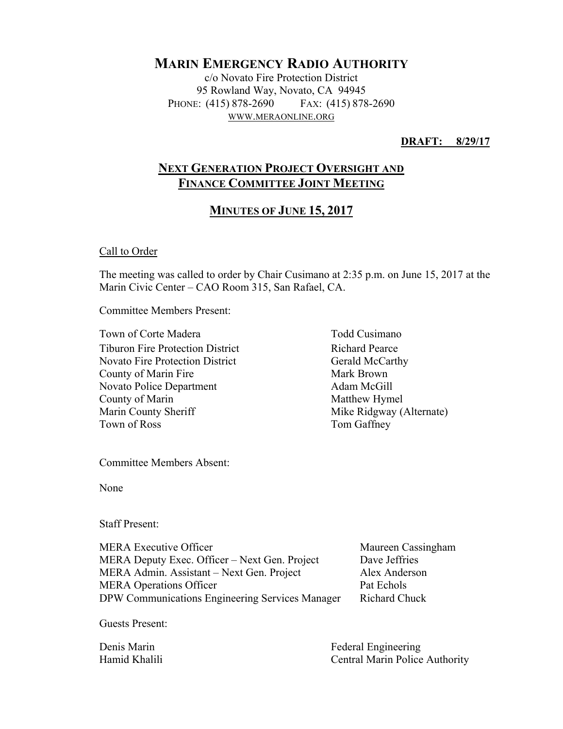# **MARIN EMERGENCY RADIO AUTHORITY**

c/o Novato Fire Protection District 95 Rowland Way, Novato, CA 94945 PHONE: (415) 878-2690 FAX: (415) 878-2690 WWW.MERAONLINE.ORG

**DRAFT: 8/29/17** 

## **NEXT GENERATION PROJECT OVERSIGHT AND FINANCE COMMITTEE JOINT MEETING**

## **MINUTES OF JUNE 15, 2017**

Call to Order

The meeting was called to order by Chair Cusimano at 2:35 p.m. on June 15, 2017 at the Marin Civic Center – CAO Room 315, San Rafael, CA.

Committee Members Present:

Town of Corte Madera Town Todd Cusimano Tiburon Fire Protection District Richard Pearce Novato Fire Protection District County of Marin Fire Novato Police Department County of Marin Marin County Sheriff Town of Ross

Gerald McCarthy Mark Brown Adam McGill Matthew Hymel Mike Ridgway (Alternate) Tom Gaffney

Committee Members Absent:

None

Staff Present:

MERA Executive Officer Maureen Cassingham MERA Deputy Exec. Officer – Next Gen. Project Dave Jeffries MERA Admin. Assistant – Next Gen. Project Alex Anderson MERA Operations Officer DPW Communications Engineering Services Manager

Pat Echols Richard Chuck

Guests Present:

Denis Marin Hamid Khalili Federal Engineering Central Marin Police Authority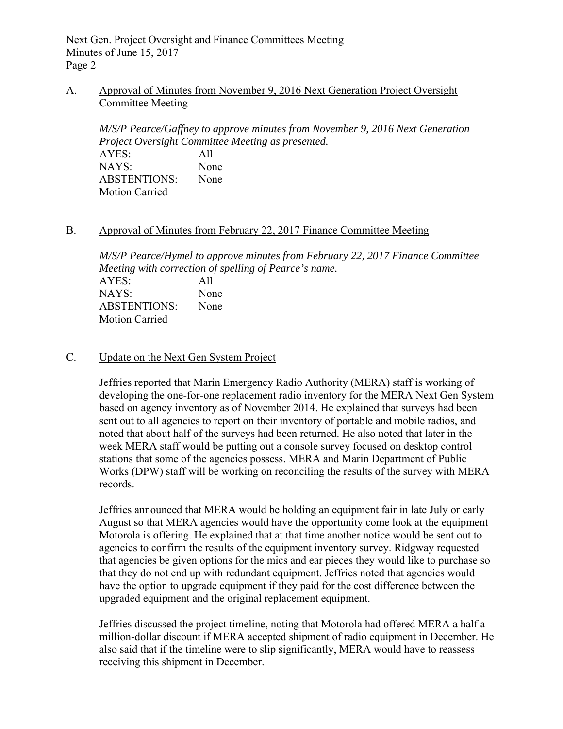#### A. Approval of Minutes from November 9, 2016 Next Generation Project Oversight Committee Meeting

*M/S/P Pearce/Gaffney to approve minutes from November 9, 2016 Next Generation Project Oversight Committee Meeting as presented.*  AYES: All NAYS: None ABSTENTIONS: None Motion Carried

#### B. Approval of Minutes from February 22, 2017 Finance Committee Meeting

*M/S/P Pearce/Hymel to approve minutes from February 22, 2017 Finance Committee Meeting with correction of spelling of Pearce's name.*  AYES: All NAYS: None ABSTENTIONS: None Motion Carried

#### C. Update on the Next Gen System Project

Jeffries reported that Marin Emergency Radio Authority (MERA) staff is working of developing the one-for-one replacement radio inventory for the MERA Next Gen System based on agency inventory as of November 2014. He explained that surveys had been sent out to all agencies to report on their inventory of portable and mobile radios, and noted that about half of the surveys had been returned. He also noted that later in the week MERA staff would be putting out a console survey focused on desktop control stations that some of the agencies possess. MERA and Marin Department of Public Works (DPW) staff will be working on reconciling the results of the survey with MERA records.

Jeffries announced that MERA would be holding an equipment fair in late July or early August so that MERA agencies would have the opportunity come look at the equipment Motorola is offering. He explained that at that time another notice would be sent out to agencies to confirm the results of the equipment inventory survey. Ridgway requested that agencies be given options for the mics and ear pieces they would like to purchase so that they do not end up with redundant equipment. Jeffries noted that agencies would have the option to upgrade equipment if they paid for the cost difference between the upgraded equipment and the original replacement equipment.

Jeffries discussed the project timeline, noting that Motorola had offered MERA a half a million-dollar discount if MERA accepted shipment of radio equipment in December. He also said that if the timeline were to slip significantly, MERA would have to reassess receiving this shipment in December.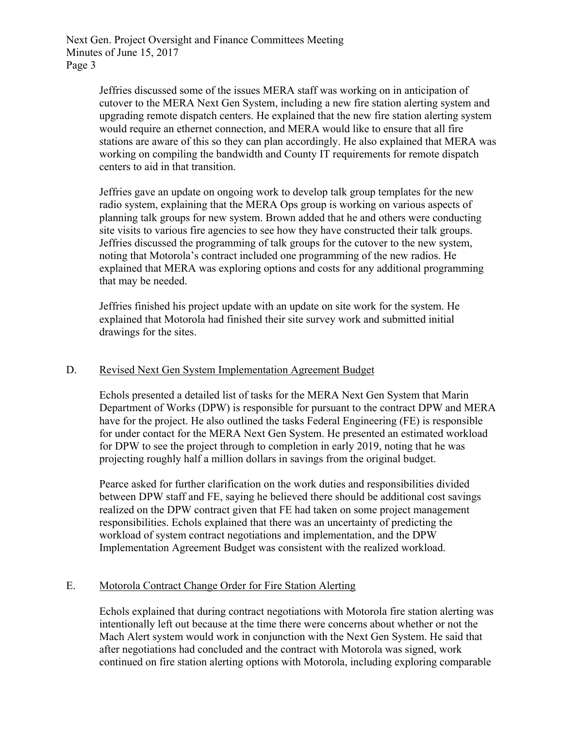> Jeffries discussed some of the issues MERA staff was working on in anticipation of cutover to the MERA Next Gen System, including a new fire station alerting system and upgrading remote dispatch centers. He explained that the new fire station alerting system would require an ethernet connection, and MERA would like to ensure that all fire stations are aware of this so they can plan accordingly. He also explained that MERA was working on compiling the bandwidth and County IT requirements for remote dispatch centers to aid in that transition.

Jeffries gave an update on ongoing work to develop talk group templates for the new radio system, explaining that the MERA Ops group is working on various aspects of planning talk groups for new system. Brown added that he and others were conducting site visits to various fire agencies to see how they have constructed their talk groups. Jeffries discussed the programming of talk groups for the cutover to the new system, noting that Motorola's contract included one programming of the new radios. He explained that MERA was exploring options and costs for any additional programming that may be needed.

Jeffries finished his project update with an update on site work for the system. He explained that Motorola had finished their site survey work and submitted initial drawings for the sites.

#### D. Revised Next Gen System Implementation Agreement Budget

Echols presented a detailed list of tasks for the MERA Next Gen System that Marin Department of Works (DPW) is responsible for pursuant to the contract DPW and MERA have for the project. He also outlined the tasks Federal Engineering (FE) is responsible for under contact for the MERA Next Gen System. He presented an estimated workload for DPW to see the project through to completion in early 2019, noting that he was projecting roughly half a million dollars in savings from the original budget.

Pearce asked for further clarification on the work duties and responsibilities divided between DPW staff and FE, saying he believed there should be additional cost savings realized on the DPW contract given that FE had taken on some project management responsibilities. Echols explained that there was an uncertainty of predicting the workload of system contract negotiations and implementation, and the DPW Implementation Agreement Budget was consistent with the realized workload.

#### E. Motorola Contract Change Order for Fire Station Alerting

Echols explained that during contract negotiations with Motorola fire station alerting was intentionally left out because at the time there were concerns about whether or not the Mach Alert system would work in conjunction with the Next Gen System. He said that after negotiations had concluded and the contract with Motorola was signed, work continued on fire station alerting options with Motorola, including exploring comparable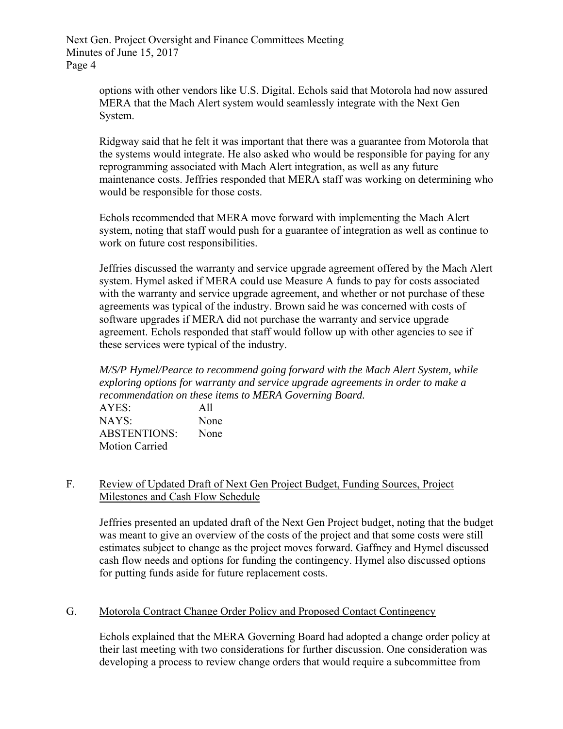> options with other vendors like U.S. Digital. Echols said that Motorola had now assured MERA that the Mach Alert system would seamlessly integrate with the Next Gen System.

Ridgway said that he felt it was important that there was a guarantee from Motorola that the systems would integrate. He also asked who would be responsible for paying for any reprogramming associated with Mach Alert integration, as well as any future maintenance costs. Jeffries responded that MERA staff was working on determining who would be responsible for those costs.

Echols recommended that MERA move forward with implementing the Mach Alert system, noting that staff would push for a guarantee of integration as well as continue to work on future cost responsibilities.

Jeffries discussed the warranty and service upgrade agreement offered by the Mach Alert system. Hymel asked if MERA could use Measure A funds to pay for costs associated with the warranty and service upgrade agreement, and whether or not purchase of these agreements was typical of the industry. Brown said he was concerned with costs of software upgrades if MERA did not purchase the warranty and service upgrade agreement. Echols responded that staff would follow up with other agencies to see if these services were typical of the industry.

 *M/S/P Hymel/Pearce to recommend going forward with the Mach Alert System, while exploring options for warranty and service upgrade agreements in order to make a recommendation on these items to MERA Governing Board.* 

AYES: All NAYS: None ABSTENTIONS: None Motion Carried

### F. Review of Updated Draft of Next Gen Project Budget, Funding Sources, Project Milestones and Cash Flow Schedule

Jeffries presented an updated draft of the Next Gen Project budget, noting that the budget was meant to give an overview of the costs of the project and that some costs were still estimates subject to change as the project moves forward. Gaffney and Hymel discussed cash flow needs and options for funding the contingency. Hymel also discussed options for putting funds aside for future replacement costs.

### G. Motorola Contract Change Order Policy and Proposed Contact Contingency

Echols explained that the MERA Governing Board had adopted a change order policy at their last meeting with two considerations for further discussion. One consideration was developing a process to review change orders that would require a subcommittee from